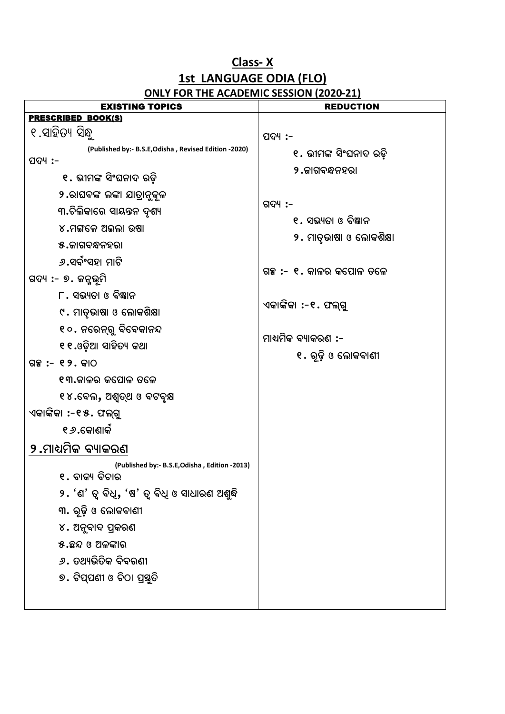#### **Class- X 1st LANGUAGE ODIA (FLO) ONLY FOR THE ACADEMIC SESSION (2020-21)**

| <b>EXISTING TOPICS</b>                                | <b>REDUCTION</b>         |
|-------------------------------------------------------|--------------------------|
| <b>PRESCRIBED BOOK(S)</b>                             |                          |
| ୧.ସାହିତ୍ୟ ସିନ୍ଧୁ                                      | ପଦ୍ୟ :-                  |
| (Published by:- B.S.E, Odisha, Revised Edition -2020) | ୧. ଭୀମଙ୍କ ସିଂଘନାଦ ରଡ଼ି   |
| ପଦ୍ୟ :-                                               | <b>୨.ଜାଗବନ୍ଧନହର।</b>     |
| ୧. ଭୀମଙ୍କ ସିଂଘନାଦ ରଡ଼ି                                |                          |
| ୨.ରାଘବଙ୍କ ଲଙ୍କା ଯାତ୍ରାନୁକୂଳ                           | ଗଦ୍ୟ :-                  |
| ୩.ଚିଲିକାରେ ସାୟନ୍ତନ ଦୃଶ୍ୟ                              | ୧ . ସଭ୍ୟତା ଓ ବିଜ୍ଞାନ     |
| ୪.ମଙ୍ଗଳେ ଅଇଲା ଉଷା                                     | ୨. ମାତୃଭାଷା ଓ ଲୋକଶିକ୍ଷା  |
| ୫.ଜାଗବନ୍ଧନହରା                                         |                          |
| ୬.ସର୍ବଂସହା ମାଟି                                       | ଗଞ୍ଚ :- ୧. କାଳର କପୋଳ ତଳେ |
| ଗଦ୍ୟ :- ୭. ଜନ୍ମଭୂମି                                   |                          |
| ୮. ସଭ୍ୟତା ଓ ବିଜ୍ଞାନ                                   | ଏକାଙ୍କିକା :-୧. ଫଲ୍ଗୁ     |
| ୯. ମାତୃଭାଷା ଓ ଲୋକଶିକ୍ଷା                               |                          |
| ୧୦. ନରେନ୍ରୁ ବିବେକାନନ୍ଦ                                |                          |
| ୧୧.ଓଡ଼ିଆ ସାହିତ୍ୟ କଥା                                  | ମାଧ୍ୟମିକ ବ୍ୟାକରଣ :-      |
| ଗଳ୍ପ :- ୧୨. କାଠ                                       | ୧. ରୂଢ଼ି ଓ ଲୋକବାଣୀ       |
| ୧୩.କାଳର କପୋଳ ତଳେ                                      |                          |
| ୧୪.ବେଲ, ଅଶ୍ୱତ୍ଥ ଓ ବଟବୃକ୍ଷ                             |                          |
| ଏକାଙ୍କିକା :-୧୫. ଫଲ୍ଗୁ                                 |                          |
| ୧ <i>୬</i> .କୋଣାର୍କ                                   |                          |
| ୨.ମାଧ୍ୟମିକ ବ୍ୟାକରଣ                                    |                          |
| (Published by:- B.S.E, Odisha, Edition -2013)         |                          |
| ୧. ବାକ୍ୟ ବିଚାର                                        |                          |
| ୨. 'ଣ' ତ୍ୱ ବିଧି, 'ଷ' ତ୍ୱ ବିଧି ଓ ସାଧାରଣ ଅଶୁଦ୍ଧି        |                          |
| ୩. ରୂଢ଼ି ଓ ଲୋକବାଣୀ                                    |                          |
| ୪. ଅନୁବାଦ ପ୍ରକରଣ                                      |                          |
| ୫.ଛନ୍ଦ ଓ ଅଳଙ୍କାର                                      |                          |
| <i>୬</i> . ତଥ୍ୟଭିତିକ ବିବରଣୀ                           |                          |
| ୭. ଟିପ୍ପଣୀ ଓ ଚିଠା ପ୍ରସ୍ତୁତି                           |                          |
|                                                       |                          |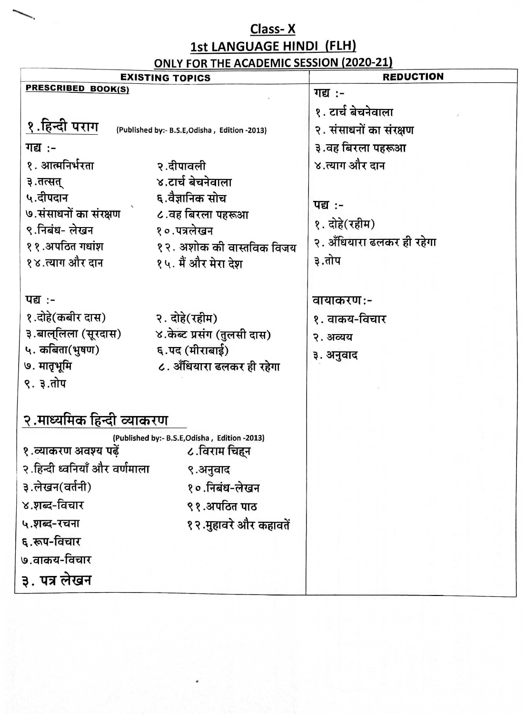#### Class-X **1st LANGUAGE HINDI (FLH)** ONLY FOR THE ACADEMIC SESSION (2020-21)

| <b>EXISTING TOPICS</b>                                                                                                                                                                                                                                                                                           |                                                                                    | <b>REDUCTION</b>                                                                                                                                     |
|------------------------------------------------------------------------------------------------------------------------------------------------------------------------------------------------------------------------------------------------------------------------------------------------------------------|------------------------------------------------------------------------------------|------------------------------------------------------------------------------------------------------------------------------------------------------|
| PRESCRIBED BOOK(S)                                                                                                                                                                                                                                                                                               |                                                                                    | गद्य :-                                                                                                                                              |
| १.हिन्दी पराग<br>(Published by:- B.S.E, Odisha, Edition -2013)<br>गद्य :-<br>१. आत्मनिर्भरता<br>२.दीपावली<br>४.टार्च बेचनेवाला<br>३.तत्सत्<br>५.दीपदान<br>६.वैज्ञानिक सोच<br>७.संसाधनों का संरक्षण दि.वह बिरला पहरूआ<br>९.निबंध- लेखन<br>१०.पत्रलेखन<br>११.अपठित गधांश<br>१४.त्याग और दान<br>१५. मैं और मेरा देश | १२. अशोक की वास्तविक विजय                                                          | १. टार्च बेचनेवाला<br>२. संसाधनों का संरक्षण<br>३.वह बिरला पहरूआ<br>४.त्याग और दान<br>पद्य :-<br>१. दोहे(रहीम)<br>२. अँधियारा ढलकर ही रहेगा<br>३.तोप |
| पद्य :-<br>१.दोहे(कबीर दास)<br>२. दोहे(रहीम)<br>३.बाल्लिला (सूरदास)<br>५. कबिता(भुषण)<br>६.पद (मीराबाई)<br>७. मातृभूमि<br>९. ३.तोप                                                                                                                                                                               | ४.केब्ट प्रसंग (तुलसी दास)<br>८. अँधियारा ढलकर ही रहेगा                            | वायाकरण:-<br>१. वाकय-विचार<br>२. अव्यय<br>३. अनुवाद                                                                                                  |
| २.माध्यमिक हिन्दी व्याकरण<br>(Published by:- B.S.E, Odisha, Edition -2013)<br>१.व्याकरण अवश्य पढ़ें<br>२.हिन्दी ध्वनियाँ और वर्णमाला<br>३.लेखन(वर्तनी)<br>४.शब्द-विचार<br>५.शब्द-रचना<br>६.रूप-विचार<br>७.वाकय-विचार<br>३. पत्र लेखन                                                                             | ८.विराम चिहन<br>९.अनुवाद<br>१०.निबंध-लेखन<br>९१.अपठित पाठ<br>१२.मुहावरे और कहावतें |                                                                                                                                                      |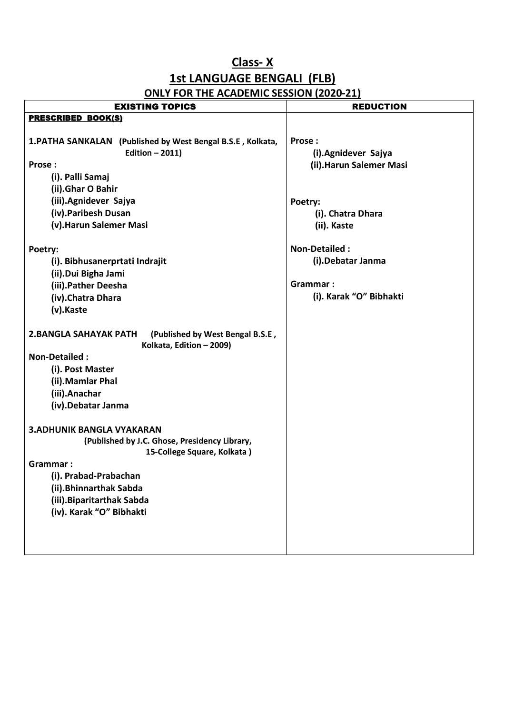#### **Class- X 1st LANGUAGE BENGALI (FLB) ONLY FOR THE ACADEMIC SESSION (2020-21)**

| <b>EXISTING TOPICS</b>                                                                                                                                                                                                                                                                                                                                                                                                                               | <b>REDUCTION</b>                                                                  |
|------------------------------------------------------------------------------------------------------------------------------------------------------------------------------------------------------------------------------------------------------------------------------------------------------------------------------------------------------------------------------------------------------------------------------------------------------|-----------------------------------------------------------------------------------|
| <b>PRESCRIBED BOOK(S)</b>                                                                                                                                                                                                                                                                                                                                                                                                                            |                                                                                   |
| 1.PATHA SANKALAN (Published by West Bengal B.S.E, Kolkata,<br>Edition $-2011$ )<br>Prose:<br>(i). Palli Samaj<br>(ii).Ghar O Bahir                                                                                                                                                                                                                                                                                                                   | Prose:<br>(i).Agnidever Sajya<br>(ii). Harun Salemer Masi                         |
| (iii).Agnidever Sajya<br>(iv).Paribesh Dusan<br>(v). Harun Salemer Masi                                                                                                                                                                                                                                                                                                                                                                              | Poetry:<br>(i). Chatra Dhara<br>(ii). Kaste                                       |
| Poetry:<br>(i). Bibhusanerprtati Indrajit<br>(ii).Dui Bigha Jami<br>(iii).Pather Deesha<br>(iv). Chatra Dhara<br>(v).Kaste                                                                                                                                                                                                                                                                                                                           | <b>Non-Detailed:</b><br>(i). Debatar Janma<br>Grammar:<br>(i). Karak "O" Bibhakti |
| <b>2.BANGLA SAHAYAK PATH</b><br>(Published by West Bengal B.S.E,<br>Kolkata, Edition - 2009)<br><b>Non-Detailed:</b><br>(i). Post Master<br>(ii). Mamlar Phal<br>(iii).Anachar<br>(iv). Debatar Janma<br><b>3. ADHUNIK BANGLA VYAKARAN</b><br>(Published by J.C. Ghose, Presidency Library,<br>15-College Square, Kolkata)<br>Grammar:<br>(i). Prabad-Prabachan<br>(ii). Bhinnarthak Sabda<br>(iii). Biparitarthak Sabda<br>(iv). Karak "O" Bibhakti |                                                                                   |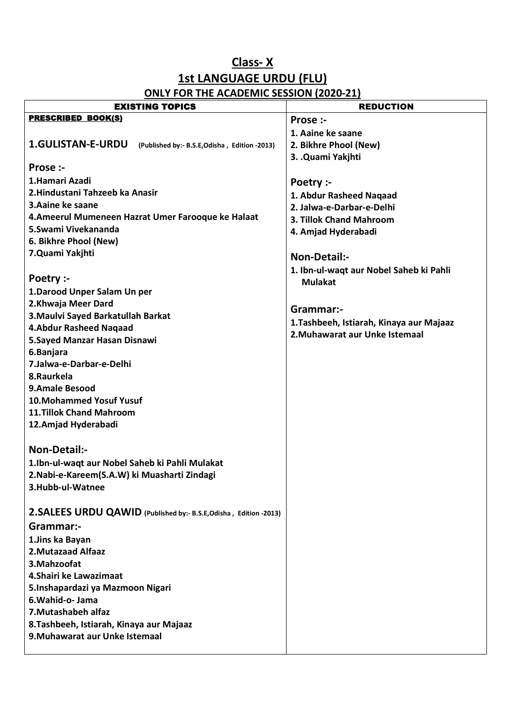#### **Class- X 1st LANGUAGE URDU (FLU) ONLY FOR THE ACADEMIC SESSION (2020-21)**

| <b>EXISTING TOPICS</b>                                                     | <b>REDUCTION</b>                         |
|----------------------------------------------------------------------------|------------------------------------------|
| <b>PRESCRIBED BOOK(S)</b>                                                  | Prose :-                                 |
|                                                                            | 1. Aaine ke saane                        |
| <b>1.GULISTAN-E-URDU</b><br>(Published by:- B.S.E, Odisha, Edition - 2013) | 2. Bikhre Phool (New)                    |
|                                                                            | 3. .Quami Yakihti                        |
| Prose :-                                                                   |                                          |
| 1.Hamari Azadi                                                             | Poetry :-                                |
| 2. Hindustani Tahzeeb ka Anasir                                            | 1. Abdur Rasheed Naqaad                  |
| 3. Aaine ke saane                                                          | 2. Jalwa-e-Darbar-e-Delhi                |
| 4.Ameerul Mumeneen Hazrat Umer Farooque ke Halaat                          | 3. Tillok Chand Mahroom                  |
| 5. Swami Vivekananda                                                       | 4. Amjad Hyderabadi                      |
| 6. Bikhre Phool (New)                                                      |                                          |
| 7.Quami Yakjhti                                                            | Non-Detail:-                             |
|                                                                            | 1. Ibn-ul-waqt aur Nobel Saheb ki Pahli  |
| Poetry :-                                                                  | <b>Mulakat</b>                           |
| 1. Darood Unper Salam Un per                                               |                                          |
| 2.Khwaja Meer Dard                                                         | Grammar:-                                |
| 3. Maulvi Sayed Barkatullah Barkat                                         | 1. Tashbeeh, Istiarah, Kinaya aur Majaaz |
| <b>4.Abdur Rasheed Naqaad</b>                                              | 2. Muhawarat aur Unke Istemaal           |
| 5.Sayed Manzar Hasan Disnawi                                               |                                          |
| 6.Banjara                                                                  |                                          |
| 7.Jalwa-e-Darbar-e-Delhi                                                   |                                          |
| 8.Raurkela<br><b>9.Amale Besood</b>                                        |                                          |
| <b>10.Mohammed Yosuf Yusuf</b>                                             |                                          |
| <b>11.Tillok Chand Mahroom</b>                                             |                                          |
| 12. Amjad Hyderabadi                                                       |                                          |
|                                                                            |                                          |
| <b>Non-Detail:-</b>                                                        |                                          |
| 1.Ibn-ul-waqt aur Nobel Saheb ki Pahli Mulakat                             |                                          |
| 2. Nabi-e-Kareem(S.A.W) ki Muasharti Zindagi                               |                                          |
| 3.Hubb-ul-Watnee                                                           |                                          |
|                                                                            |                                          |
| 2. SALEES URDU QAWID (Published by:- B.S.E, Odisha, Edition -2013)         |                                          |
| Grammar:-                                                                  |                                          |
| 1.Jins ka Bayan                                                            |                                          |
| 2. Mutazaad Alfaaz                                                         |                                          |
| 3. Mahzoofat                                                               |                                          |
| 4. Shairi ke Lawazimaat                                                    |                                          |
| 5.Inshapardazi ya Mazmoon Nigari                                           |                                          |
| 6. Wahid-o- Jama                                                           |                                          |
| 7. Mutashabeh alfaz                                                        |                                          |
| 8. Tashbeeh, Istiarah, Kinaya aur Majaaz                                   |                                          |
| 9. Muhawarat aur Unke Istemaal                                             |                                          |
|                                                                            |                                          |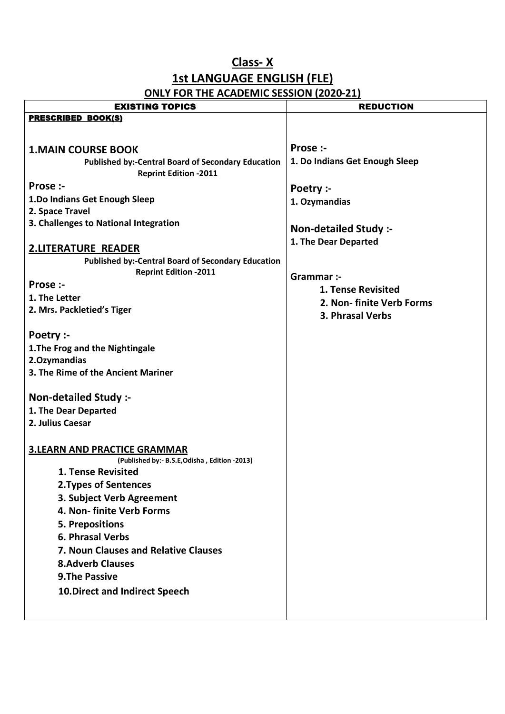### **1st LANGUAGE ENGLISH (FLE)**

| <u>UNLI FUN THE ACADEMIC SESSION (2020-21)</u>            |                                |  |  |
|-----------------------------------------------------------|--------------------------------|--|--|
| <b>EXISTING TOPICS</b>                                    | <b>REDUCTION</b>               |  |  |
| <b>PRESCRIBED BOOK(S)</b>                                 |                                |  |  |
|                                                           |                                |  |  |
| <b>1.MAIN COURSE BOOK</b>                                 | Prose :-                       |  |  |
| <b>Published by:-Central Board of Secondary Education</b> | 1. Do Indians Get Enough Sleep |  |  |
| <b>Reprint Edition -2011</b>                              |                                |  |  |
| Prose :-                                                  | Poetry :-                      |  |  |
| 1.Do Indians Get Enough Sleep                             | 1. Ozymandias                  |  |  |
| 2. Space Travel                                           |                                |  |  |
| 3. Challenges to National Integration                     | Non-detailed Study :-          |  |  |
|                                                           | 1. The Dear Departed           |  |  |
| <b>2.LITERATURE READER</b>                                |                                |  |  |
| <b>Published by:-Central Board of Secondary Education</b> |                                |  |  |
| <b>Reprint Edition -2011</b>                              | Grammar :-                     |  |  |
| Prose :-                                                  | <b>1. Tense Revisited</b>      |  |  |
| 1. The Letter                                             | 2. Non-finite Verb Forms       |  |  |
| 2. Mrs. Packletied's Tiger                                | 3. Phrasal Verbs               |  |  |
|                                                           |                                |  |  |
| Poetry :-                                                 |                                |  |  |
| 1. The Frog and the Nightingale                           |                                |  |  |
| 2.Ozymandias                                              |                                |  |  |
| 3. The Rime of the Ancient Mariner                        |                                |  |  |
|                                                           |                                |  |  |
| Non-detailed Study :-                                     |                                |  |  |
| 1. The Dear Departed                                      |                                |  |  |
| 2. Julius Caesar                                          |                                |  |  |
|                                                           |                                |  |  |
| <b>3.LEARN AND PRACTICE GRAMMAR</b>                       |                                |  |  |
| (Published by:- B.S.E, Odisha, Edition -2013)             |                                |  |  |
| 1. Tense Revisited                                        |                                |  |  |
| 2. Types of Sentences                                     |                                |  |  |
| 3. Subject Verb Agreement                                 |                                |  |  |
| 4. Non-finite Verb Forms                                  |                                |  |  |
| <b>5. Prepositions</b>                                    |                                |  |  |
| 6. Phrasal Verbs                                          |                                |  |  |
| 7. Noun Clauses and Relative Clauses                      |                                |  |  |
| <b>8.Adverb Clauses</b>                                   |                                |  |  |
| <b>9.The Passive</b>                                      |                                |  |  |
| <b>10. Direct and Indirect Speech</b>                     |                                |  |  |
|                                                           |                                |  |  |
|                                                           |                                |  |  |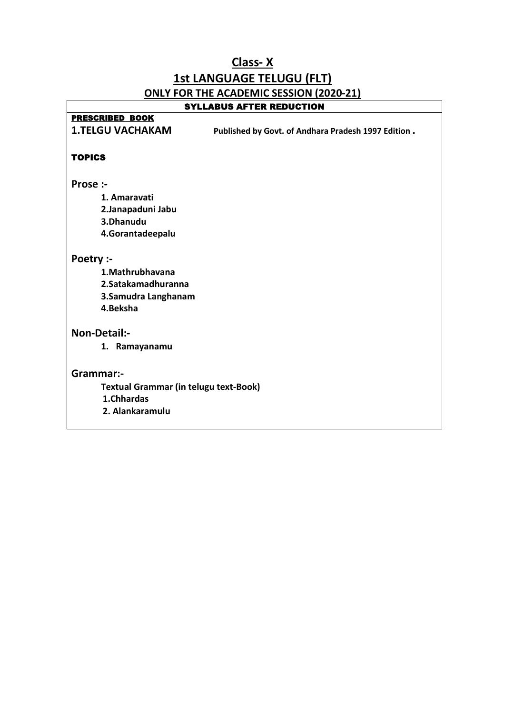## **Class- X 1st LANGUAGE TELUGU (FLT) ONLY FOR THE ACADEMIC SESSION (2020-21)**

 $\overline{\mathsf{I}}$ 

 $\Gamma$ 

| SYLLABUS AFTER REDUCTION                                                       |
|--------------------------------------------------------------------------------|
| <b>PRESCRIBED BOOK</b>                                                         |
| <b>1.TELGU VACHAKAM</b><br>Published by Govt. of Andhara Pradesh 1997 Edition. |
|                                                                                |
| <b>TOPICS</b>                                                                  |
|                                                                                |
| Prose :-                                                                       |
| 1. Amaravati                                                                   |
| 2.Janapaduni Jabu                                                              |
| 3.Dhanudu                                                                      |
| 4.Gorantadeepalu                                                               |
| Poetry :-                                                                      |
| 1. Mathrubhavana                                                               |
| 2. Satakamadhuranna                                                            |
| 3. Samudra Langhanam                                                           |
| 4.Beksha                                                                       |
| Non-Detail:-                                                                   |
| 1. Ramayanamu                                                                  |
|                                                                                |
| Grammar:-                                                                      |
| <b>Textual Grammar (in telugu text-Book)</b>                                   |
| 1.Chhardas                                                                     |
| 2. Alankaramulu                                                                |
|                                                                                |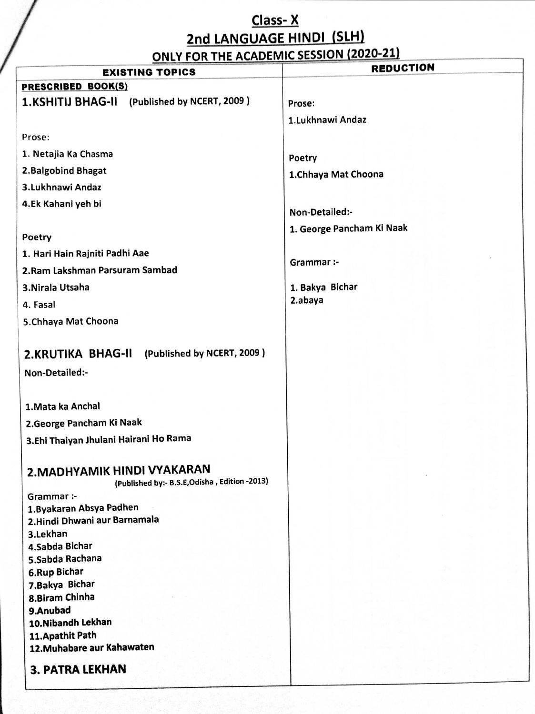# Class-X 2nd LANGUAGE HINDI (SLH)<br>ONLY FOR THE ACADEMIC SESSION (2020-21)

| <b>EXISTING TOPICS</b>                        | <b>REDUCTION</b>          |
|-----------------------------------------------|---------------------------|
| <b>PRESCRIBED BOOK(S)</b>                     |                           |
|                                               |                           |
| 1.KSHITIJ BHAG-II (Published by NCERT, 2009)  | Prose:                    |
|                                               | 1.Lukhnawi Andaz          |
| Prose:                                        |                           |
| 1. Netajia Ka Chasma                          | Poetry                    |
| 2. Balgobind Bhagat                           |                           |
| 3.Lukhnawi Andaz                              | 1.Chhaya Mat Choona       |
| 4.Ek Kahani yeh bi                            |                           |
|                                               | Non-Detailed:-            |
|                                               | 1. George Pancham Ki Naak |
| Poetry                                        |                           |
| 1. Hari Hain Rajniti Padhi Aae                | Grammar :-                |
| 2.Ram Lakshman Parsuram Sambad                |                           |
| 3. Nirala Utsaha                              | 1. Bakya Bichar           |
| 4. Fasal                                      | 2.abaya                   |
| 5. Chhaya Mat Choona                          |                           |
|                                               |                           |
| 2.KRUTIKA BHAG-II (Published by NCERT, 2009)  |                           |
|                                               |                           |
| Non-Detailed:-                                |                           |
|                                               |                           |
| 1. Mata ka Anchal                             |                           |
| 2. George Pancham Ki Naak                     |                           |
| 3.Ehi Thaiyan Jhulani Hairani Ho Rama         |                           |
|                                               |                           |
| 2. MADHYAMIK HINDI VYAKARAN                   |                           |
| (Published by:- B.S.E, Odisha, Edition -2013) |                           |
| Grammar :-                                    |                           |
| 1. Byakaran Absya Padhen                      |                           |
| 2. Hindi Dhwani aur Barnamala<br>3.Lekhan     |                           |
| 4.Sabda Bichar                                |                           |
| 5.Sabda Rachana                               |                           |
| <b>6.Rup Bichar</b>                           |                           |
| 7. Bakya Bichar                               |                           |
| 8.Biram Chinha                                |                           |
| 9.Anubad<br>10. Nibandh Lekhan                |                           |
| 11. Apathit Path                              |                           |
| 12. Muhabare aur Kahawaten                    |                           |
|                                               |                           |
| <b>3. PATRA LEKHAN</b>                        |                           |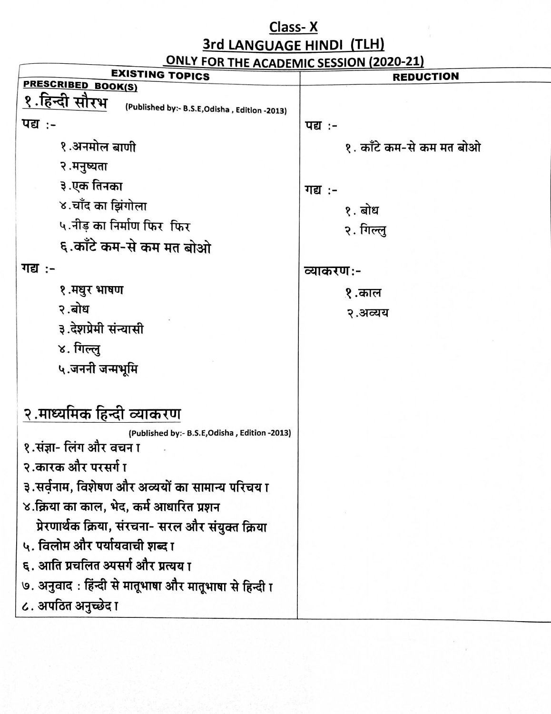**3rd LANGUAGE HINDI (TLH)**<br>ONLY FOR THE ACADEMIC SESSION (2020-21)

| <b>EXISTING TOPICS</b>                                         | <b>REDUCTION</b>         |
|----------------------------------------------------------------|--------------------------|
| PRESCRIBED BOOK(S)                                             |                          |
| १.हिन्दी सौरभ<br>(Published by:- B.S.E, Odisha, Edition -2013) |                          |
| पद्य :-                                                        | पद्य :-                  |
| १.अनमोल बाणी                                                   | १. काँटे कम-से कम मत बोओ |
| २.मनुष्यता                                                     |                          |
| ३.एक तिनका                                                     | गद्य :-                  |
| ४.चाँद का झिंगोला                                              | १. बोध                   |
| ५.नीड का निर्माण फिर फिर                                       | २. गिल्लु                |
| ६.काँटे कम-से कम मत बोओ                                        |                          |
| गद्य :-                                                        | व्याकरण:-                |
| १.मधुर भाषण                                                    | १.काल                    |
| २.बोध                                                          | २.अव्यय                  |
| ३.देशप्रेमी संन्यासी                                           |                          |
| ४. गिल्लु                                                      |                          |
| ५.जननी जन्मभूमि                                                |                          |
|                                                                |                          |
| २.माध्यमिक हिन्दी व्याकरण                                      |                          |
| (Published by:- B.S.E, Odisha, Edition -2013)                  |                          |
| १.संज्ञा- लिंग और वचन ा                                        |                          |
| २.कारक और परसर्ग ा                                             |                          |
| ३.सर्वनाम, विशेषण और अव्ययों का सामान्य परिचय ा                |                          |
| ४.क्रिया का काल, भेद, कर्म आधारित प्रशन                        |                          |
| प्रेरणार्थक क्रिया, संरचना- सरल और संयुक्त क्रिया              |                          |
| ५. विलोम और पर्यायवाची शब्द ा                                  |                          |
| ६. आति प्रचलित अ्यसर्ग और प्रत्यय ा                            |                          |
| ७. अनुवाद : हिंन्दी से मातूभाषा और मातूभाषा से हिन्दी ा        |                          |
| ८. अपठित अनुच्छेद ा                                            |                          |
|                                                                |                          |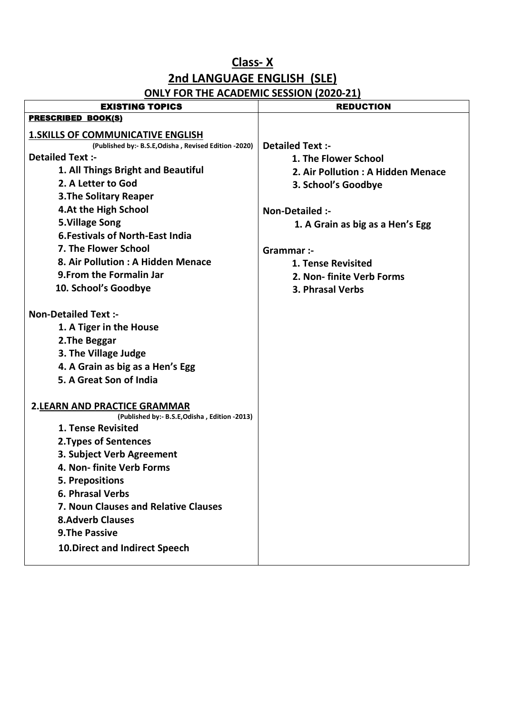# **2nd LANGUAGE ENGLISH (SLE)**

| <b>PRESCRIBED BOOK(S)</b><br><b>1. SKILLS OF COMMUNICATIVE ENGLISH</b><br><b>Detailed Text:-</b><br>(Published by:- B.S.E, Odisha, Revised Edition -2020)<br><b>Detailed Text:-</b><br>1. The Flower School<br>1. All Things Bright and Beautiful<br>2. Air Pollution: A Hidden Menace<br>2. A Letter to God<br>3. School's Goodbye<br><b>3. The Solitary Reaper</b><br>4.At the High School<br>Non-Detailed :-<br><b>5.Village Song</b><br>1. A Grain as big as a Hen's Egg<br><b>6. Festivals of North-East India</b><br>7. The Flower School<br>Grammar :-<br>8. Air Pollution: A Hidden Menace<br><b>1. Tense Revisited</b><br>9. From the Formalin Jar<br>2. Non- finite Verb Forms<br>10. School's Goodbye<br>3. Phrasal Verbs<br><b>Non-Detailed Text:-</b><br>1. A Tiger in the House<br>2. The Beggar<br>3. The Village Judge<br>4. A Grain as big as a Hen's Egg<br>5. A Great Son of India<br><b>2.LEARN AND PRACTICE GRAMMAR</b><br>(Published by:- B.S.E, Odisha, Edition -2013)<br><b>1. Tense Revisited</b><br>2. Types of Sentences<br>3. Subject Verb Agreement<br>4. Non- finite Verb Forms<br>5. Prepositions<br>6. Phrasal Verbs<br>7. Noun Clauses and Relative Clauses<br><b>8.Adverb Clauses</b><br><b>9.The Passive</b><br><b>10. Direct and Indirect Speech</b> | <b>EXISTING TOPICS</b> | <b>REDUCTION</b> |
|------------------------------------------------------------------------------------------------------------------------------------------------------------------------------------------------------------------------------------------------------------------------------------------------------------------------------------------------------------------------------------------------------------------------------------------------------------------------------------------------------------------------------------------------------------------------------------------------------------------------------------------------------------------------------------------------------------------------------------------------------------------------------------------------------------------------------------------------------------------------------------------------------------------------------------------------------------------------------------------------------------------------------------------------------------------------------------------------------------------------------------------------------------------------------------------------------------------------------------------------------------------------------------------|------------------------|------------------|
|                                                                                                                                                                                                                                                                                                                                                                                                                                                                                                                                                                                                                                                                                                                                                                                                                                                                                                                                                                                                                                                                                                                                                                                                                                                                                          |                        |                  |
|                                                                                                                                                                                                                                                                                                                                                                                                                                                                                                                                                                                                                                                                                                                                                                                                                                                                                                                                                                                                                                                                                                                                                                                                                                                                                          |                        |                  |
|                                                                                                                                                                                                                                                                                                                                                                                                                                                                                                                                                                                                                                                                                                                                                                                                                                                                                                                                                                                                                                                                                                                                                                                                                                                                                          |                        |                  |
|                                                                                                                                                                                                                                                                                                                                                                                                                                                                                                                                                                                                                                                                                                                                                                                                                                                                                                                                                                                                                                                                                                                                                                                                                                                                                          |                        |                  |
|                                                                                                                                                                                                                                                                                                                                                                                                                                                                                                                                                                                                                                                                                                                                                                                                                                                                                                                                                                                                                                                                                                                                                                                                                                                                                          |                        |                  |
|                                                                                                                                                                                                                                                                                                                                                                                                                                                                                                                                                                                                                                                                                                                                                                                                                                                                                                                                                                                                                                                                                                                                                                                                                                                                                          |                        |                  |
|                                                                                                                                                                                                                                                                                                                                                                                                                                                                                                                                                                                                                                                                                                                                                                                                                                                                                                                                                                                                                                                                                                                                                                                                                                                                                          |                        |                  |
|                                                                                                                                                                                                                                                                                                                                                                                                                                                                                                                                                                                                                                                                                                                                                                                                                                                                                                                                                                                                                                                                                                                                                                                                                                                                                          |                        |                  |
|                                                                                                                                                                                                                                                                                                                                                                                                                                                                                                                                                                                                                                                                                                                                                                                                                                                                                                                                                                                                                                                                                                                                                                                                                                                                                          |                        |                  |
|                                                                                                                                                                                                                                                                                                                                                                                                                                                                                                                                                                                                                                                                                                                                                                                                                                                                                                                                                                                                                                                                                                                                                                                                                                                                                          |                        |                  |
|                                                                                                                                                                                                                                                                                                                                                                                                                                                                                                                                                                                                                                                                                                                                                                                                                                                                                                                                                                                                                                                                                                                                                                                                                                                                                          |                        |                  |
|                                                                                                                                                                                                                                                                                                                                                                                                                                                                                                                                                                                                                                                                                                                                                                                                                                                                                                                                                                                                                                                                                                                                                                                                                                                                                          |                        |                  |
|                                                                                                                                                                                                                                                                                                                                                                                                                                                                                                                                                                                                                                                                                                                                                                                                                                                                                                                                                                                                                                                                                                                                                                                                                                                                                          |                        |                  |
|                                                                                                                                                                                                                                                                                                                                                                                                                                                                                                                                                                                                                                                                                                                                                                                                                                                                                                                                                                                                                                                                                                                                                                                                                                                                                          |                        |                  |
|                                                                                                                                                                                                                                                                                                                                                                                                                                                                                                                                                                                                                                                                                                                                                                                                                                                                                                                                                                                                                                                                                                                                                                                                                                                                                          |                        |                  |
|                                                                                                                                                                                                                                                                                                                                                                                                                                                                                                                                                                                                                                                                                                                                                                                                                                                                                                                                                                                                                                                                                                                                                                                                                                                                                          |                        |                  |
|                                                                                                                                                                                                                                                                                                                                                                                                                                                                                                                                                                                                                                                                                                                                                                                                                                                                                                                                                                                                                                                                                                                                                                                                                                                                                          |                        |                  |
|                                                                                                                                                                                                                                                                                                                                                                                                                                                                                                                                                                                                                                                                                                                                                                                                                                                                                                                                                                                                                                                                                                                                                                                                                                                                                          |                        |                  |
|                                                                                                                                                                                                                                                                                                                                                                                                                                                                                                                                                                                                                                                                                                                                                                                                                                                                                                                                                                                                                                                                                                                                                                                                                                                                                          |                        |                  |
|                                                                                                                                                                                                                                                                                                                                                                                                                                                                                                                                                                                                                                                                                                                                                                                                                                                                                                                                                                                                                                                                                                                                                                                                                                                                                          |                        |                  |
|                                                                                                                                                                                                                                                                                                                                                                                                                                                                                                                                                                                                                                                                                                                                                                                                                                                                                                                                                                                                                                                                                                                                                                                                                                                                                          |                        |                  |
|                                                                                                                                                                                                                                                                                                                                                                                                                                                                                                                                                                                                                                                                                                                                                                                                                                                                                                                                                                                                                                                                                                                                                                                                                                                                                          |                        |                  |
|                                                                                                                                                                                                                                                                                                                                                                                                                                                                                                                                                                                                                                                                                                                                                                                                                                                                                                                                                                                                                                                                                                                                                                                                                                                                                          |                        |                  |
|                                                                                                                                                                                                                                                                                                                                                                                                                                                                                                                                                                                                                                                                                                                                                                                                                                                                                                                                                                                                                                                                                                                                                                                                                                                                                          |                        |                  |
|                                                                                                                                                                                                                                                                                                                                                                                                                                                                                                                                                                                                                                                                                                                                                                                                                                                                                                                                                                                                                                                                                                                                                                                                                                                                                          |                        |                  |
|                                                                                                                                                                                                                                                                                                                                                                                                                                                                                                                                                                                                                                                                                                                                                                                                                                                                                                                                                                                                                                                                                                                                                                                                                                                                                          |                        |                  |
|                                                                                                                                                                                                                                                                                                                                                                                                                                                                                                                                                                                                                                                                                                                                                                                                                                                                                                                                                                                                                                                                                                                                                                                                                                                                                          |                        |                  |
|                                                                                                                                                                                                                                                                                                                                                                                                                                                                                                                                                                                                                                                                                                                                                                                                                                                                                                                                                                                                                                                                                                                                                                                                                                                                                          |                        |                  |
|                                                                                                                                                                                                                                                                                                                                                                                                                                                                                                                                                                                                                                                                                                                                                                                                                                                                                                                                                                                                                                                                                                                                                                                                                                                                                          |                        |                  |
|                                                                                                                                                                                                                                                                                                                                                                                                                                                                                                                                                                                                                                                                                                                                                                                                                                                                                                                                                                                                                                                                                                                                                                                                                                                                                          |                        |                  |
|                                                                                                                                                                                                                                                                                                                                                                                                                                                                                                                                                                                                                                                                                                                                                                                                                                                                                                                                                                                                                                                                                                                                                                                                                                                                                          |                        |                  |
|                                                                                                                                                                                                                                                                                                                                                                                                                                                                                                                                                                                                                                                                                                                                                                                                                                                                                                                                                                                                                                                                                                                                                                                                                                                                                          |                        |                  |
|                                                                                                                                                                                                                                                                                                                                                                                                                                                                                                                                                                                                                                                                                                                                                                                                                                                                                                                                                                                                                                                                                                                                                                                                                                                                                          |                        |                  |
|                                                                                                                                                                                                                                                                                                                                                                                                                                                                                                                                                                                                                                                                                                                                                                                                                                                                                                                                                                                                                                                                                                                                                                                                                                                                                          |                        |                  |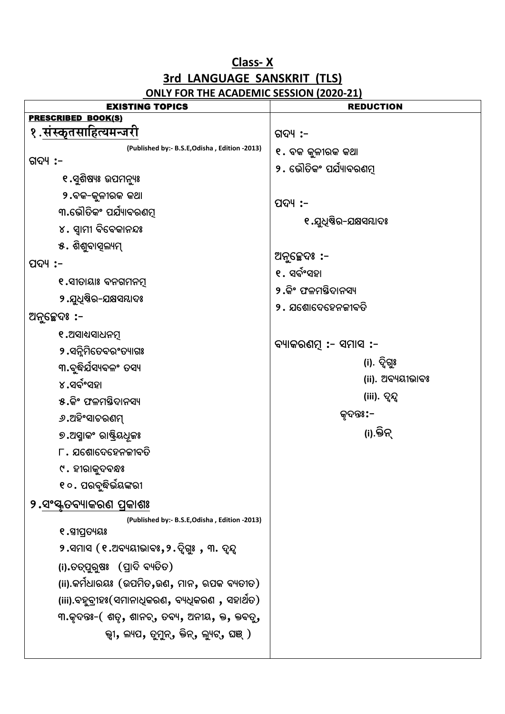## **3rd LANGUAGE SANSKRIT (TLS)**

| <u>SINET TON THE ACADEMIC SESSION (2020 21)</u><br><b>EXISTING TOPICS</b> | <b>REDUCTION</b>               |
|---------------------------------------------------------------------------|--------------------------------|
| <b>PRESCRIBED BOOK(S)</b>                                                 |                                |
| १.संस्कृतसाहित्यमन्जरी                                                    | ଗଦ୍ୟ :–                        |
| (Published by:- B.S.E, Odisha, Edition -2013)                             | ୧. ବକ କୁଳୀରକ କଥା               |
| ଗଦ୍ୟ :-                                                                   | ୨ <b>.</b> ଭୌତିକଂ ପର୍ଯ୍ୟାବରଣମୂ |
| ୧.ସୁଶିଷ୍ୟଃ ଉପମନ୍ୟୁଃ                                                       |                                |
| ୨.ବକ-କୁଳୀରକ କଥା                                                           | ପଦ୍ୟ :–                        |
| ୩.ଭୌତିକଂ ପର୍ଯ୍ୟାବରଣମୂ                                                     | ୧ .ଯୁଧିଷିର-ଯକ୍ଷସୟାଦଃ           |
| ୪. ସ୍ୱାମୀ ବିବେକାନନ୍ଦଃ                                                     |                                |
| ୫. ଶିଶୁବାସ୍ଲ୍ୟମ୍                                                          |                                |
| ପଦ୍ୟ :–                                                                   | ଅନୁଚ୍ଛେଦଃ :-                   |
| ୧.ସୀତାୟାଃ ବନଗମନମୂ                                                         | ୧. ସର୍ବଂସହା                    |
| ୨ .ଯୁଧିଷିର-ଯକ୍ଷସମ୍ଭାଦଃ                                                    | ୨ <b>.</b> କିଂ ଫଳମସ୍ତିଦାନସ୍ୟ   |
| ଅନୁଚ୍ଛେଦଃ :-                                                              | ୨ .  ଯଶୋଦେହେନଜୀବତି             |
| ୧.ଅସାଧସାଧନମୂ                                                              |                                |
| ୨.ସନ୍ନିମିତେବରଂତ୍ୟାଗଃ                                                      | ବ୍ୟାକରଣମ୍ :- ସମାସ :-           |
| ୩.ବୃଦ୍ଧିର୍ଯସ୍ୟବଳଂ ତସ୍ୟ                                                    | (i). ଦ୍ୱିଗ <u>ୁ</u> ଃ          |
| ୪.ସର୍ବଂସହା                                                                | (ii). ଅବ୍ୟୟୀଭାବଃ               |
| ୫.କିଂ ଫଳମତ୍ତିଦାନସ୍ୟ                                                       | (iii). ଦୃନ୍ଦ                   |
| ୬.ଅହିଂସାଚରଣମ୍                                                             | କୃଦନ୍ତଃ:–                      |
| ୭.ଅସ୍ମାକଂ ରାଷ୍ଟ୍ରିୟଧୂଳଃ                                                   | (i).କ୍ତିନ୍                     |
| ୮․ ଯଶୋଦେହେନକୀବତି                                                          |                                |
| ୯ . ହୀରାକୁଦବନ୍ଧଃ                                                          |                                |
| ୧୦. ପରବୃଦ୍ଧିଭୟଙ୍କରୀ                                                       |                                |
| ୨.ସଂସ୍କୃତବ୍ୟାକରଣ ପ୍ରକାଶଃ                                                  |                                |
| (Published by:- B.S.E, Odisha, Edition -2013)                             |                                |
| ୧.ସ୍ୱୀପ୍ରତ୍ୟୟଃ                                                            |                                |
| ୨.ସମାସ (୧.ଅବ୍ୟୟୀଭାବଃ,୨.ଦ୍ୱିଗ୍ରୁଃ , ୩. ଦୃନ୍ଦ                               |                                |
| (i).ତତ୍ପୁରୁଷଃ (ପ୍ରାଦି ବ୍ୟତିତ)                                             |                                |
| (ii).କମିଧାରୟଃ (ଉପମିତ,ଉଣ, ମାନ, ଋପକ ବ୍ୟତୀତ)                                 |                                |
| (iii).ବହୁବ୍ରୀହଃ(ସମାନାଧିକରଣ, ବ୍ୟଧିକରଣ , ସହାଥତ)                             |                                |
| ୩.କୃଦନ୍ତଃ- $($ ଶତୃ, ଶାନଚ୍, ତବ୍ୟ, ଅନୀୟ, କ୍ତ, କ୍ତବତ୍ରୁ,                     |                                |
| କ୍ଷ୍ୟ, ଲ୍ୟପ, ତୁମୁନ୍, କ୍ତିନ୍, ଲ୍ୟୁଟ୍, ଘଞ୍ )                                |                                |
|                                                                           |                                |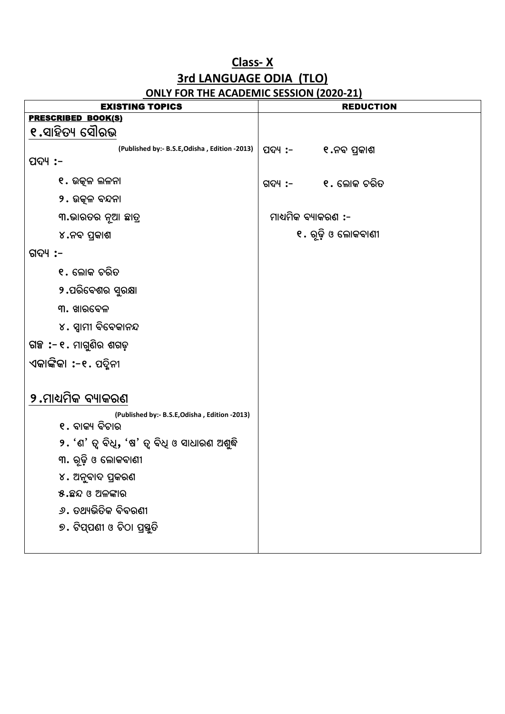#### Class-X 3rd LANGUAGE ODIA (TLO) ONLY FOR THE ACADEMIC SESSION (2020-21)

| <b>EXISTING TOPICS</b>                         |                     | <b>REDUCTION</b>    |
|------------------------------------------------|---------------------|---------------------|
| <b>PRESCRIBED BOOK(S)</b>                      |                     |                     |
| ୧.ସାହିତ୍ୟ ସୌରଭ                                 |                     |                     |
| (Published by:- B.S.E, Odisha, Edition -2013)  | ପଦ୍ୟ :- ୧.ନବ ପ୍ରକାଶ |                     |
| ପଦ୍ୟ :-                                        |                     |                     |
| ୧. ଉତ୍କଳ ଲଳନା                                  |                     | ଗଦ୍ୟ :- ୧. ଲୋକ ଚରିତ |
| 9 <b>. ଉତ୍କଳ ବନ୍ଦନା</b>                        |                     |                     |
| ୩.ଭାରତର ନୂଆ ଛାତ୍ର                              | ମାଧ୍ୟମିକ ବ୍ୟାକରଣ :- |                     |
| ୪.ନବ ପ୍ରକାଶ                                    |                     | ୧. ରୂଢ଼ି ଓ ଲୋକବାଣୀ  |
| ଗଦ୍ୟ :–                                        |                     |                     |
| ୧. ଲୋକ ଚରିତ                                    |                     |                     |
| ୨.ପରିବେଶର ସୁରକ୍ଷା                              |                     |                     |
| ୩. ଖାରବେଳ                                      |                     |                     |
| ୪. ସ୍ୱାମୀ ବିବେକାନନ୍ଦ                           |                     |                     |
| ଗଞ୍ଚ :- ୧. ମାଗୁଣିର ଶଗଡ଼                        |                     |                     |
| ଏକାଙ୍କିକା :-୧. ପଦ୍ମିନୀ                         |                     |                     |
|                                                |                     |                     |
| ୨.ମାଧ୍ୟମିକ ବ୍ୟାକରଣ                             |                     |                     |
| (Published by:- B.S.E, Odisha, Edition -2013)  |                     |                     |
| ୧. ବାକ୍ୟ ବିଚାର                                 |                     |                     |
| ୨. 'ଣ' ତ୍ୱ ବିଧି, 'ଷ' ତ୍ୱ ବିଧି ଓ ସାଧାରଣ ଅଶୁଦ୍ଧି |                     |                     |
| ୩. ରୂଢ଼ି ଓ ଲୋକବାଣୀ                             |                     |                     |
| ୪. ଅନୁବାଦ ପ୍ରକରଣ                               |                     |                     |
| ୫.ଛନ୍ଦ ଓ ଅଳଙ୍କାର                               |                     |                     |
| <i>୬</i> . ତଥ୍ୟଭିତିକ ବିବରଣୀ                    |                     |                     |
| ୭. ଟିପ୍ପଣୀ ଓ ଚିଠା ପ୍ରସ୍ତୁତି                    |                     |                     |
|                                                |                     |                     |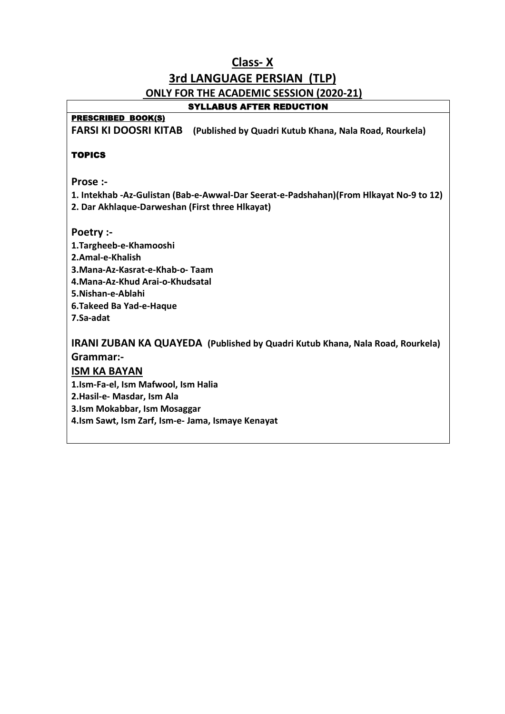### **Class- X 3rd LANGUAGE PERSIAN (TLP) ONLY FOR THE ACADEMIC SESSION (2020-21)**

#### SYLLABUS AFTER REDUCTION

#### PRESCRIBED BOOK(S)

**FARSI KI DOOSRI KITAB (Published by Quadri Kutub Khana, Nala Road, Rourkela)**

#### **TOPICS**

**Prose :-** 

**1. Intekhab -Az-Gulistan (Bab-e-Awwal-Dar Seerat-e-Padshahan)(From Hlkayat No-9 to 12) 2. Dar Akhlaque-Darweshan (First three Hlkayat)** 

- 
- **Poetry :- 1.Targheeb-e-Khamooshi 2.Amal-e-Khalish 3.Mana-Az-Kasrat-e-Khab-o- Taam 4.Mana-Az-Khud Arai-o-Khudsatal 5.Nishan-e-Ablahi 6.Takeed Ba Yad-e-Haque 7.Sa-adat**

**IRANI ZUBAN KA QUAYEDA (Published by Quadri Kutub Khana, Nala Road, Rourkela) Grammar:-** 

#### **ISM KA BAYAN**

**1.Ism-Fa-el, Ism Mafwool, Ism Halia** 

**2.Hasil-e- Masdar, Ism Ala** 

**3.Ism Mokabbar, Ism Mosaggar** 

**4.Ism Sawt, Ism Zarf, Ism-e- Jama, Ismaye Kenayat**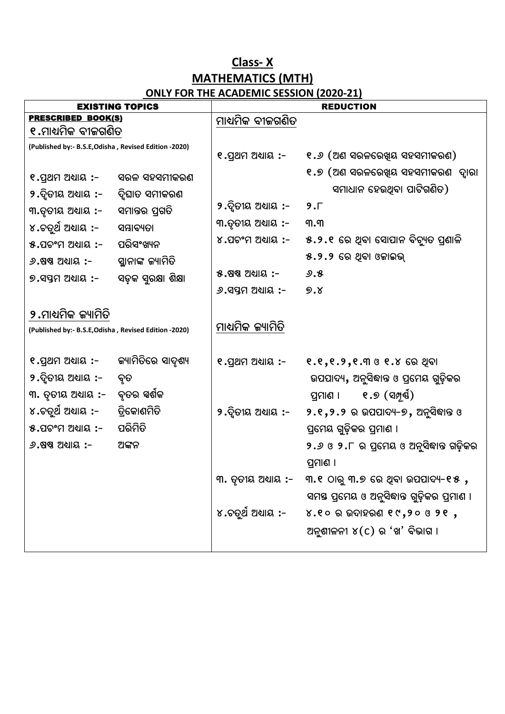#### **Class- X MATHEMATICS (MTH) ONLY FOR THE ACADEMIC SESSION (2020-21)**

| <b>EXISTING TOPICS</b>                                                       |                     |                           | <b>REDUCTION</b>                                          |
|------------------------------------------------------------------------------|---------------------|---------------------------|-----------------------------------------------------------|
| <b>PRESCRIBED BOOK(S)</b>                                                    |                     | ମାଧ୍ୟମିକ ବୀଜଗଣିତ          |                                                           |
| ୧.ମାଧ୍ୟମିକ ବୀଜଗଣିତ                                                           |                     |                           |                                                           |
| (Published by:- B.S.E, Odisha, Revised Edition -2020)                        |                     | ୧.ପ୍ରଥମ ଅଧ୍ୟାୟ :-         | ୧.୬ (ଅଣ ସରଳରେଖିୟ ସହସମୀକରଣ)                                |
| ୧.ପ୍ରଥମ ଅଧ୍ୟାୟ :-                                                            | ସରଳ ସହସମୀକରଣ        |                           | ୧.୭ (ଅଣ ସରଳରେଖିୟ ସହସମୀକରଣ  ଦ୍ୱାରା                         |
| ୨.ଦୃିତୀୟ ଅଧ୍ୟାୟ :-                                                           | ଦ୍ୱିଘାତ ସମୀକରଣ      |                           | ସମାଧାନ ହେଉଥିବା ପାଟିଗଣିତ)                                  |
| ୩.ତୃତୀୟ ଅଧ୍ୟାୟ :-                                                            | ସମାନ୍ତର ପ୍ରଗତି      | ୨.ଦ୍ୱିତୀୟ ଅଧ୍ୟାୟ :-       | $9. \Gamma$                                               |
| ୪.ଚତୁର୍ଥ ଅଧାୟ :-                                                             | ସମ୍ଭାବ୍ୟତା          | ୩.ତୃତୀୟ ଅଧାୟ :-           | ୩.୩                                                       |
| ୫.ପଚଂମ ଅଧ୍ୟାୟ :-                                                             | ପରିସଂଖ୍ୟନ           |                           | ୪.ପଚଂମ ଅଧ୍ୟାୟ :-     ୫.୨.୧  ରେ ଥିବା ସୋପାନ ବିଚ୍ୟୁତ ପ୍ରଣାଳି |
| $9.88$ ଷ ଅଧାୟ $\,$ :-                                                        | ସ୍ଥାନାଙ୍କ ଜ୍ୟାମିତି  |                           | ୫.୨.୨ ରେ ଥିବା ଓଜାଇଭ୍                                      |
| ୭.ସପ୍ତମ ଅଧାୟ :-                                                              | ସଡ଼କ ସୁରକ୍ଷା ଶିକ୍ଷା | ୫.ଷଷ ଅଧାୟ :-              | ୬.୫                                                       |
|                                                                              |                     | $9.$ ସପ୍ତମ ଅଧାୟ $\cdot$ - | 9.8                                                       |
| ୨.ମାଧ୍ୟମିକ ଜ୍ୟାମିତି<br>(Published by:- B.S.E, Odisha, Revised Edition -2020) |                     | ମାଧ୍ୟମିକ ଜ୍ୟାମିତି         |                                                           |
| ୧.ପ୍ରଥମ ଅଧ୍ୟାୟ :-      କ୍ୟାମିତିରେ ସାଦୃଶ୍ୟ                                    |                     | ୧.ପ୍ରଥମ ଅଧ୍ୟାୟ :-         | ୧.୧,୧.୨,୧.୩ ଓ ୧.୪ ରେ ଥିବା                                 |
| ୨.ଦିତୀୟ ଅଧାୟ :-                                                              | ବୃତ                 |                           | ଉପପାଦ୍ୟ, ଅନୁସିଦ୍ଧାନ୍ତ ଓ ପ୍ରମେୟ ଗୁଡ଼ିକର                    |
| ୩. ତୃତୀୟ ଅଧାୟ :-                                                             | ବୃତର ସ୍ୱର୍ଶକ        |                           | ୧.୭ (ସମ୍ପୂର୍ଣ)<br>ପ୍ରମାଶ ।                                |
| ୪.ଚତୁର୍ଥ ଅଧ୍ୟାୟ :-      ତ୍ରିକୋଣମିତି                                          |                     | ୨.ଦ୍ୱିତୀୟ ଅଧ୍ୟାୟ :-       | ୨.୧,୨.୨ ର ଉପପାଦ୍ୟ-୭, ଅନୁସିଦ୍ଧାନ୍ତ ଓ                       |
| ୫.ପଚଂମ ଅଧ୍ୟାୟ :-                                                             | ପରିମିତି             |                           | ପ୍ରମେୟ ଗୁଡ଼ିକର ପ୍ରମାଣ ।                                   |
| $9.88$ ଅଧାୟ $\cdot$ -                                                        | ଅଙ୍କନ               |                           | ୨.୬ ଓ ୨.୮ ର ପ୍ରମେୟ ଓ ଅନୁସିଦ୍ଧାନ୍ତ ଗଡ଼ିକର                  |
|                                                                              |                     |                           | ପ୍ରମାଣ ।                                                  |
|                                                                              |                     | ୩. ତୃତୀୟ ଅଧ୍ୟାୟ :-        | ୩.୧ ଠାରୁ ୩.୭ ରେ ଥିବା ଉପପାଦ୍ୟ-୧୫ ,                         |
|                                                                              |                     |                           | ସମୟ ପ୍ରମେୟ ଓ ଅନୁସିଦ୍ଧାନ୍ତ ଗୁଡ଼ିକର ପ୍ରମାଣ ।                |
|                                                                              |                     |                           | ୪.ଚତୁର୍ଥ ଅଧ୍ୟାୟ :- ୪.୧୦ ର ଉଦାହରଣ ୧୯,୨୦ ଓ ୨୧ ,             |
|                                                                              |                     |                           | ଅନୁଶୀଳନୀ ୪(C) ର 'ଖ' ବିଭାଗ ।                               |
|                                                                              |                     |                           |                                                           |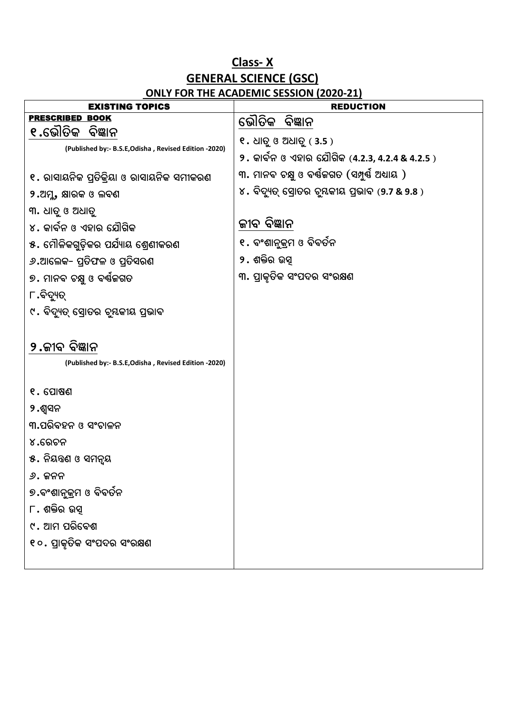#### **Class- X GENERAL SCIENCE (GSC) ONLY FOR THE ACADEMIC SESSION (2020-21)**

| <b>EXISTING TOPICS</b>                                                 | <b>REDUCTION</b>                               |
|------------------------------------------------------------------------|------------------------------------------------|
| <b>PRESCRIBED BOOK</b>                                                 | ଭୌତିକ ବିଜ୍ଞାନ                                  |
| ୧.ଭୌତିକ ବିଜ୍ଞାନ                                                        | ୧. ଧାତୁ ଓ ଅଧାତୁ (3.5 )                         |
| (Published by:- B.S.E, Odisha, Revised Edition -2020)                  | ୨. କାର୍ବନ ଓ ଏହାର ଯୌଗିକ (4.2.3, 4.2.4 & 4.2.5 ) |
| ୧. ରାସାୟନିକ ପ୍ରତିକ୍ରିୟା ଓ ରାସାୟନିକ ସମୀକରଣ                              | ୩. ମାନବ ଚକ୍ଷୁ ଓ ବର୍ଷକଗତ (ସମ୍ପୁର୍ଷ ଅଧ୍ୟାୟ )     |
| ୨.ଅମୁ, କ୍ଷାରକ ଓ ଲବଣ                                                    | ୪. ବିଦ୍ୟୁତ୍ ସ୍ରୋତର ବୃୟକୀୟ ପ୍ରଭାବ (9.7 & 9.8 )  |
| ୩. ଧାତୁ ଓ ଅଧାତୁ                                                        |                                                |
| ୪. କାର୍ବନ ଓ ଏହାର ଯୌଗିକ                                                 | ଜୀବ ବିଜ୍ଞାନ                                    |
| ୫. ମୌଳିକଗୁଡ଼ିକର ପର୍ଯ୍ୟାୟ ଶ୍ରେଣୀକରଣ                                     | ୧ <b>.</b> ବଂଶାନୁକ୍ରମ ଓ ବିବର୍ତନ                |
| ୬.ଆଲେକ- ପ୍ରତିଫଳ ଓ ପ୍ରତିସରଣ                                             | ୨. ଶକ୍ତିର ଉସ୍                                  |
| ୭. ମାନବ ଚକ୍ଷୁ ଓ ବର୍ଷଜଗତ                                                | ୩. ପ୍ରାକୃତିକ ସଂପଦର ସଂରକ୍ଷଣ                     |
| ୮.ବିଦ୍ୟୁତ୍                                                             |                                                |
| ୯. ବିଦ୍ୟୁତ୍ ସ୍ରୋତର ଚୃୟକୀୟ ପ୍ରଭାବ                                       |                                                |
| ୨.ଜୀବ ବିଜ୍ଞାନ<br>(Published by:- B.S.E, Odisha, Revised Edition -2020) |                                                |
| ୧. ପୋଷଣ                                                                |                                                |
| ୨.ଶ୍ୱସନ                                                                |                                                |
| ୩.ପରିବହନ ଓ ସଂଚାଳନ                                                      |                                                |
| ୪.ରେଚନ                                                                 |                                                |
| ୫. ନିୟତ୍ତଣ ଓ ସମନ୍ୟ                                                     |                                                |
| ୬. ଜନନ                                                                 |                                                |
| ୭.ବଂଶାନୁକ୍ରମ ଓ ବିବର୍ତନ                                                 |                                                |
| ୮. ଶକ୍ତିର ଉସ୍                                                          |                                                |
| ୯. ଆମ ପରିବେଶ                                                           |                                                |
| ୧୦. ପ୍ରାକୃତିକ ସଂପଦର ସଂରକ୍ଷଣ                                            |                                                |
|                                                                        |                                                |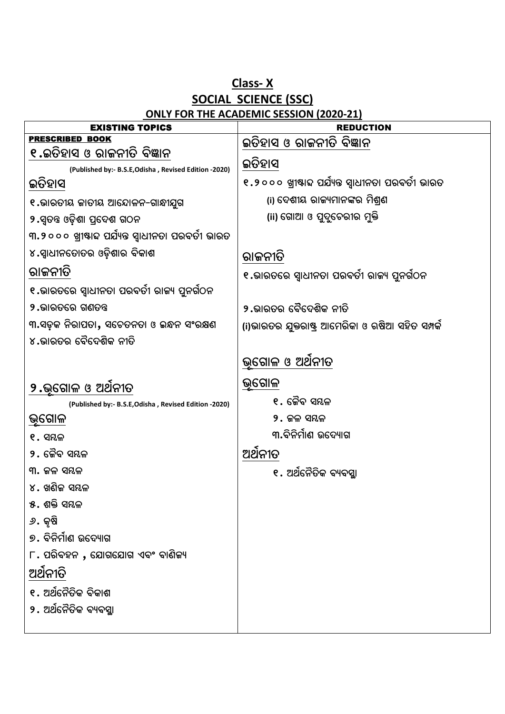#### **Class- X SOCIAL SCIENCE (SSC) ONLY FOR THE ACADEMIC SESSION (2020-21)**

| <b>EXISTING TOPICS</b>                                | <b>REDUCTION</b>                                    |  |
|-------------------------------------------------------|-----------------------------------------------------|--|
| <b>PRESCRIBED BOOK</b>                                | ଇତିହାସ ଓ ରାଜନୀତି ବିଜ୍ଞାନ                            |  |
| ୧.ଇତିହାସ ଓ ରାଜନୀତି ବିଜ୍ଞାନ                            | ଇତିହାସ                                              |  |
| (Published by:- B.S.E, Odisha, Revised Edition -2020) |                                                     |  |
| ଇତିହାସ                                                | ୧.୨୦୦୦ ଖ୍ରୀଷ୍ଟାବ୍ଦ ପର୍ଯ୍ୟନ୍ତ ସ୍ୱାଧୀନତା ପରବର୍ତୀ ଭାରତ |  |
| ୧.ଭାରତୀୟ ଜାତୀୟ ଆନ୍ଦୋଳନ-ଗାନ୍ଧୀଯୁଗ                      | (i) ଦେଶୀୟ ରାଜ୍ୟମାନଙ୍କର ମିଶ୍ରଣ                       |  |
| ୨.ସ୍ୱତନ୍ତ ଓଡ଼ିଶା ପ୍ରଦେଶ ଗଠନ                           | (ii) ଗୋଆ ଓ ପୁଦ୍ୱଚେରୀର ମୁକ୍ତି                        |  |
| ୩.୨୦୦୦ ଖ୍ରୀଷ୍ଟାବ୍ଦ ପର୍ଯ୍ୟନ୍ତ ସ୍ୱାଧୀନତା ପରବର୍ତୀ ଭାରତ   |                                                     |  |
| ୪.ସ୍ୱାଧୀନତୋତର ଓଡ଼ିଶାର ବିକାଶ                           | ରାଜନୀତି                                             |  |
| ରାଜନୀତି                                               | ୧.ଭାରତରେ ସ୍ୱାଧୀନତା ପରବର୍ତୀ ରାଜ୍ୟ ପୁନର୍ଗଠନ           |  |
| ୧.ଭାରତରେ ସ୍ୱାଧୀନତା ପରବର୍ତୀ ରାଜ୍ୟ ପୁନର୍ଗଠନ             |                                                     |  |
| ୨.ଭାରତରେ ଗଣତନ୍ତ                                       | ୨.ଭାରତର ବୈଦେଶିକ ନୀତି                                |  |
| ୩.ସଡ଼କ ନିରାପତା, ସଚେତନତା ଓ ଇନ୍ଧନ ସଂରକ୍ଷଣ               | (i)ଭାରତର ଯୁକ୍ତରାଷ୍ଟ୍ର ଆମେରିକା ଓ ଋଷିଆ ସହିତ ସମ୍ପର୍କ   |  |
| ୪.ଭାରତର ବୈଦେଶିକ ନୀତି                                  |                                                     |  |
|                                                       | ଭୂଗୋଳ ଓ ଅଥନୀତ                                       |  |
| ୨.ଭ୍ଗୋଳ ଓ ଅଥିନୀତ                                      | ଭୂଗୋଳ                                               |  |
| (Published by:- B.S.E, Odisha, Revised Edition -2020) | ୧. କୈବ ସୟଳ                                          |  |
| <u>ଭୂଗୋଳ</u>                                          | ୨. ଜଳ ସୟଳ                                           |  |
| $e.$ ସୟଳ                                              | ୩.ବିନିର୍ମାଣ ଉଦ୍ୟୋଗ                                  |  |
| ୨. କୈବ ସୟଳ                                            | ଅର୍ଥନୀତ                                             |  |
| ୩. ଜଳ ସୟଳ                                             | ୧. ଅର୍ଥନୈତିକ ବ୍ୟବସ୍ଥା                               |  |
| ୪. ଖଣିକ ସୟଳ                                           |                                                     |  |
| ୫. ଶକ୍ତି ସୟଳ                                          |                                                     |  |
| ୬. କୃଷି                                               |                                                     |  |
| ୭. ବିନିର୍ମାଣ ଉଦ୍ୟୋଗ                                   |                                                     |  |
| $\Gamma$ . ପରିବହନ , ଯୋଗଯୋଗ ଏବଂ ବାଣିଜ୍ୟ                |                                                     |  |
| ଅର୍ଥନୀତି                                              |                                                     |  |
| ୧. ଅର୍ଥନୈତିକ ବିକାଶ                                    |                                                     |  |
| ୨. ଅର୍ଥନୈତିକ ବ୍ୟବସ୍ଥା                                 |                                                     |  |
|                                                       |                                                     |  |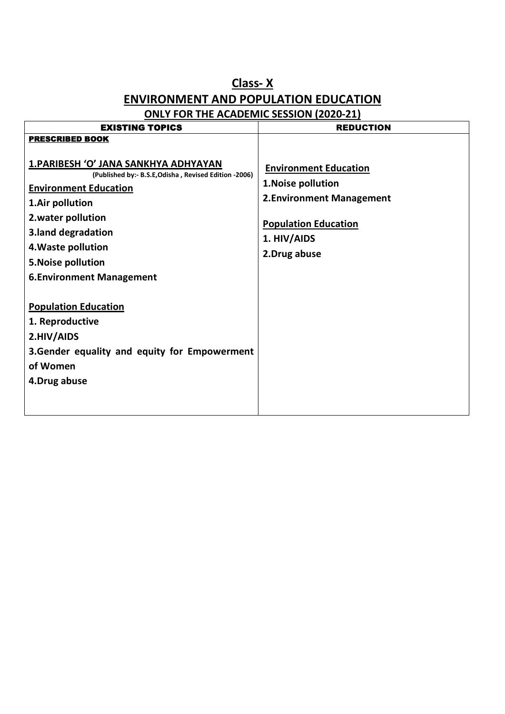## **Class- X ENVIRONMENT AND POPULATION EDUCATION**

| <b>EXISTING TOPICS</b>                                                                                                                                                                                                                                                       | <b>REDUCTION</b>                                                                                                                              |
|------------------------------------------------------------------------------------------------------------------------------------------------------------------------------------------------------------------------------------------------------------------------------|-----------------------------------------------------------------------------------------------------------------------------------------------|
| <b>PRESCRIBED BOOK</b>                                                                                                                                                                                                                                                       |                                                                                                                                               |
| 1. PARIBESH 'O' JANA SANKHYA ADHYAYAN<br>(Published by:- B.S.E, Odisha, Revised Edition -2006)<br><b>Environment Education</b><br>1.Air pollution<br>2. water pollution<br>3.land degradation<br>4. Waste pollution<br>5. Noise pollution<br><b>6.Environment Management</b> | <b>Environment Education</b><br>1. Noise pollution<br>2. Environment Management<br><b>Population Education</b><br>1. HIV/AIDS<br>2.Drug abuse |
| <b>Population Education</b><br>1. Reproductive<br>2.HIV/AIDS<br>3. Gender equality and equity for Empowerment<br>of Women<br>4.Drug abuse                                                                                                                                    |                                                                                                                                               |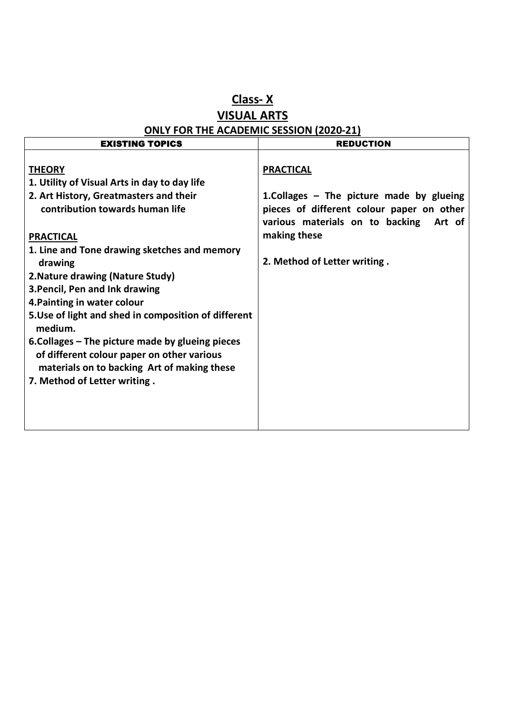#### **Class- X VISUAL ARTS ONLY FOR THE ACADEMIC SESSION (2020-21)**

| <b>EXISTING TOPICS</b>                                                                                                                                                                                                                                                                                                                                                                            | <b>REDUCTION</b>                                                                                                                                                                                          |
|---------------------------------------------------------------------------------------------------------------------------------------------------------------------------------------------------------------------------------------------------------------------------------------------------------------------------------------------------------------------------------------------------|-----------------------------------------------------------------------------------------------------------------------------------------------------------------------------------------------------------|
| <b>THEORY</b><br>1. Utility of Visual Arts in day to day life<br>2. Art History, Greatmasters and their<br>contribution towards human life<br><b>PRACTICAL</b><br>1. Line and Tone drawing sketches and memory<br>drawing<br>2. Nature drawing (Nature Study)<br>3. Pencil, Pen and Ink drawing<br>4. Painting in water colour<br>5. Use of light and shed in composition of different<br>medium. | <b>PRACTICAL</b><br>1. Collages $-$ The picture made by glueing<br>pieces of different colour paper on other<br>various materials on to backing<br>Art of<br>making these<br>2. Method of Letter writing. |
| 6. Collages – The picture made by glueing pieces<br>of different colour paper on other various<br>materials on to backing Art of making these<br>7. Method of Letter writing.                                                                                                                                                                                                                     |                                                                                                                                                                                                           |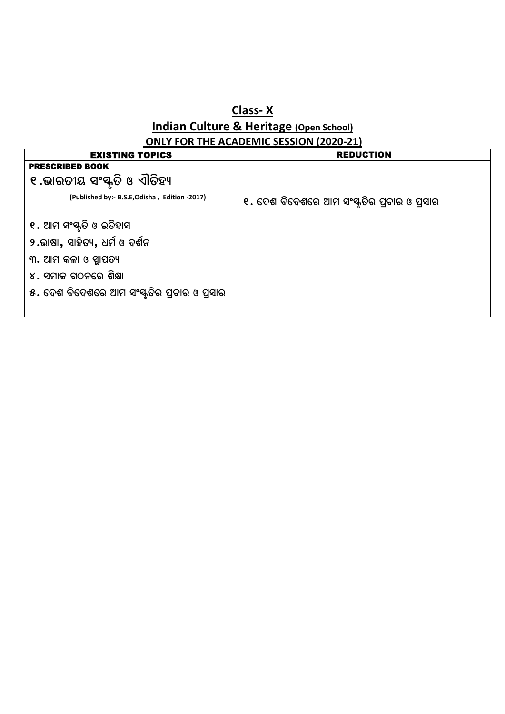#### **Class- X Indian Culture & Heritage (Open School) ONLY FOR THE ACADEMIC SESSION (2020-21)**

| <b>EXISTING TOPICS</b>                        | <b>REDUCTION</b>                            |
|-----------------------------------------------|---------------------------------------------|
| <b>PRESCRIBED BOOK</b>                        |                                             |
| ୧.ଭାରତୀୟ ସଂସ୍କୃତି ଓ ଏାତିହ୍ୟ                   |                                             |
| (Published by:- B.S.E, Odisha, Edition -2017) | ୧. ଦେଶ ବିଦେଶରେ ଆମ ସଂସ୍କୃତିର ପ୍ରଚାର ଓ ପ୍ରସାର |
| ୧. ଆମ ସଂସ୍କୃତି ଓ ଇତିହାସ                       |                                             |
| ୨.ଭାଷା, ସାହିତ୍ୟ, ଧର୍ମ ଓ ଦର୍ଶନ                 |                                             |
| ୩. ଆମ କଳା ଓ ସ୍ଥାପତ୍ୟ                          |                                             |
| ୪. ସମାଜ ଗଠନରେ ଶିକ୍ଷା                          |                                             |
| ୫. ଦେଶ ବିଦେଶରେ ଆମ ସଂଷ୍କୃତିର ପ୍ରଚାର ଓ ପ୍ରସାର   |                                             |
|                                               |                                             |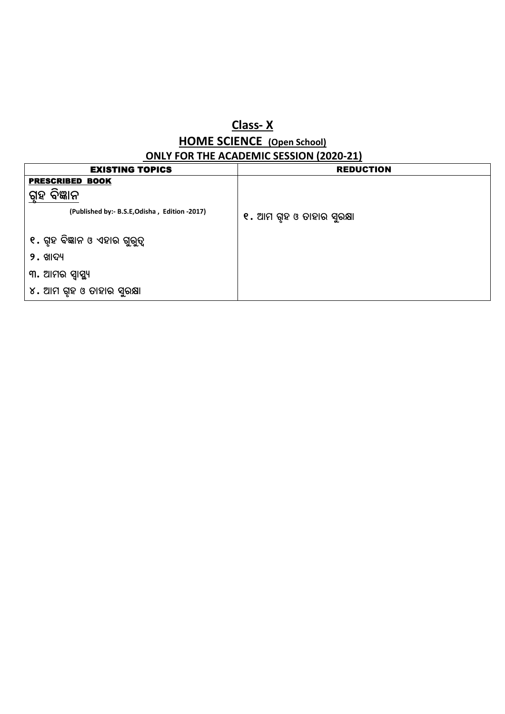## **Class- X HOME SCIENCE (Open School)**

| <b>ONLY FOR THE ACADEMIC SESSION (2020-21)</b> |                           |  |
|------------------------------------------------|---------------------------|--|
| <b>EXISTING TOPICS</b>                         | <b>REDUCTION</b>          |  |
| <b>PRESCRIBED BOOK</b>                         |                           |  |
| ବିଜ୍ଞାନ<br>ଗୃହ                                 |                           |  |
| (Published by:- B.S.E, Odisha, Edition -2017)  | ୧. ଆମ ଗୃହ ଓ ତାହାର ସୁରକ୍ଷା |  |
| ୧. ଗୃହ ବିଜ୍ଞାନ ଓ ଏହାର ଗୁରୁତ୍ୱ                  |                           |  |
| $9.$ ଖାଦ୍ୟ                                     |                           |  |
| ୩. ଆମର ସ୍ୱାସ୍ଥ୍ୟ                               |                           |  |
| ୪. ଆମ ଗୃହ ଓ ତାହାର ସୁରକ୍ଷା                      |                           |  |